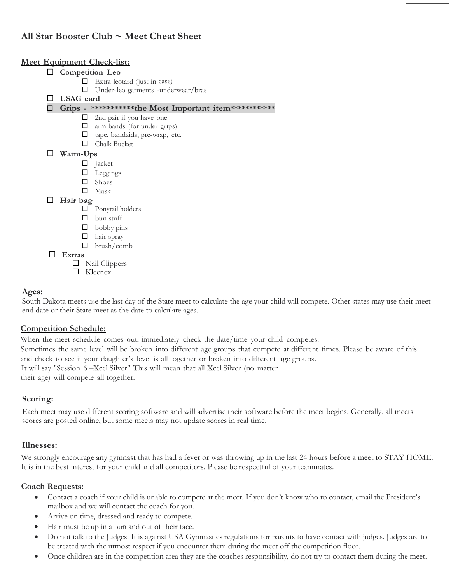# All Star Booster Club  $\sim$  Meet Cheat Sheet

#### Meet Equipment Check-list:

| $\Box$ |                  | Competition Leo                                         |  |
|--------|------------------|---------------------------------------------------------|--|
|        |                  | Extra leotard (just in case)                            |  |
|        | ⊔                | Under-leo garments -underwear/bras                      |  |
|        | <b>USAG</b> card |                                                         |  |
| ப      |                  | Grips - ************the Most Important item************ |  |
|        | □                | 2nd pair if you have one                                |  |
|        | ⊔                | arm bands (for under grips)                             |  |
|        | ப                | tape, bandaids, pre-wrap, etc.                          |  |
|        |                  | Chalk Bucket                                            |  |
| ப      | Warm-Ups         |                                                         |  |
|        |                  | $\Box$ Jacket                                           |  |
|        |                  | Leggings                                                |  |
|        | П                | Shoes                                                   |  |
|        |                  | Mask                                                    |  |
| $\Box$ | Hair bag         |                                                         |  |
|        |                  | Ponytail holders                                        |  |
|        |                  | bun stuff                                               |  |
|        | ⊔                | bobby pins                                              |  |
|        | ш                | hair spray                                              |  |
|        | П                | brush/comb                                              |  |
| ш      | <b>Extras</b>    |                                                         |  |
|        |                  | Nail Clippers                                           |  |
|        |                  | Kleenex                                                 |  |
|        |                  |                                                         |  |

#### Ages:

South Dakota meets use the last day of the State meet to calculate the age your child will compete. Other states may use their meet end date or their State meet as the date to calculate ages.

## Competition Schedule:

When the meet schedule comes out, immediately check the date/time your child competes. Sometimes the same level will be broken into different age groups that compete at different times. Please be aware of this and check to see if your daughter's level is all together or broken into different age groups. It will say "Session 6 –Xcel Silver" This will mean that all Xcel Silver (no matter their age) will compete all together.

## Scoring:

Each meet may use different scoring software and will advertise their software before the meet begins. Generally, all meets scores are posted online, but some meets may not update scores in real time.

#### Illnesses:

We strongly encourage any gymnast that has had a fever or was throwing up in the last 24 hours before a meet to STAY HOME. It is in the best interest for your child and all competitors. Please be respectful of your teammates.

#### Coach Requests:

- Contact a coach if your child is unable to compete at the meet. If you don't know who to contact, email the President's mailbox and we will contact the coach for you.
- Arrive on time, dressed and ready to compete.
- Hair must be up in a bun and out of their face.
- Do not talk to the Judges. It is against USA Gymnastics regulations for parents to have contact with judges. Judges are to be treated with the utmost respect if you encounter them during the meet off the competition floor.
- Once children are in the competition area they are the coaches responsibility, do not try to contact them during the meet.